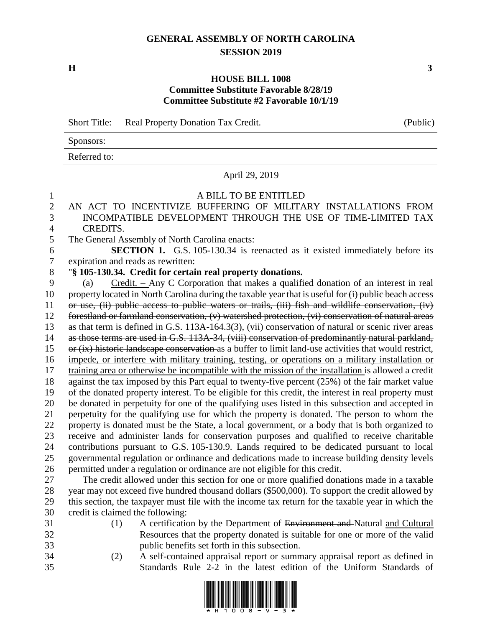## **GENERAL ASSEMBLY OF NORTH CAROLINA SESSION 2019**

**H 3**

## **HOUSE BILL 1008 Committee Substitute Favorable 8/28/19 Committee Substitute #2 Favorable 10/1/19**

Short Title: Real Property Donation Tax Credit. (Public) Sponsors: Referred to: April 29, 2019 A BILL TO BE ENTITLED AN ACT TO INCENTIVIZE BUFFERING OF MILITARY INSTALLATIONS FROM INCOMPATIBLE DEVELOPMENT THROUGH THE USE OF TIME-LIMITED TAX CREDITS. The General Assembly of North Carolina enacts: **SECTION 1.** G.S. 105-130.34 is reenacted as it existed immediately before its expiration and reads as rewritten: "**§ 105-130.34. Credit for certain real property donations.** (a) Credit. – Any C Corporation that makes a qualified donation of an interest in real 10 property located in North Carolina during the taxable year that is useful for (i) public beach access or use, (ii) public access to public waters or trails, (iii) fish and wildlife conservation, (iv) forestland or farmland conservation, (v) watershed protection, (vi) conservation of natural areas as that term is defined in G.S. 113A-164.3(3), (vii) conservation of natural or scenic river areas as those terms are used in G.S. 113A-34, (viii) conservation of predominantly natural parkland, or (ix) historic landscape conservation as a buffer to limit land-use activities that would restrict, impede, or interfere with military training, testing, or operations on a military installation or training area or otherwise be incompatible with the mission of the installation is allowed a credit against the tax imposed by this Part equal to twenty-five percent (25%) of the fair market value of the donated property interest. To be eligible for this credit, the interest in real property must be donated in perpetuity for one of the qualifying uses listed in this subsection and accepted in perpetuity for the qualifying use for which the property is donated. The person to whom the property is donated must be the State, a local government, or a body that is both organized to receive and administer lands for conservation purposes and qualified to receive charitable contributions pursuant to G.S. 105-130.9. Lands required to be dedicated pursuant to local governmental regulation or ordinance and dedications made to increase building density levels permitted under a regulation or ordinance are not eligible for this credit. The credit allowed under this section for one or more qualified donations made in a taxable year may not exceed five hundred thousand dollars (\$500,000). To support the credit allowed by this section, the taxpayer must file with the income tax return for the taxable year in which the credit is claimed the following: (1) A certification by the Department of Environment and Natural and Cultural Resources that the property donated is suitable for one or more of the valid public benefits set forth in this subsection.

 (2) A self-contained appraisal report or summary appraisal report as defined in Standards Rule 2-2 in the latest edition of the Uniform Standards of



| (Publi |  |  |
|--------|--|--|
|        |  |  |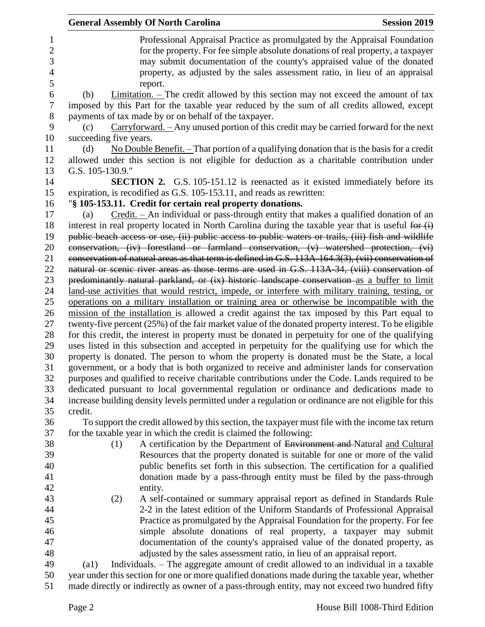|                | <b>General Assembly Of North Carolina</b><br><b>Session 2019</b>                                                                                                                                         |
|----------------|----------------------------------------------------------------------------------------------------------------------------------------------------------------------------------------------------------|
| 1              | Professional Appraisal Practice as promulgated by the Appraisal Foundation                                                                                                                               |
| $\overline{2}$ | for the property. For fee simple absolute donations of real property, a taxpayer                                                                                                                         |
| 3              | may submit documentation of the county's appraised value of the donated                                                                                                                                  |
| 4              | property, as adjusted by the sales assessment ratio, in lieu of an appraisal                                                                                                                             |
| 5              | report.                                                                                                                                                                                                  |
| 6              | $Limitation.$ – The credit allowed by this section may not exceed the amount of tax<br>(b)                                                                                                               |
| 7              | imposed by this Part for the taxable year reduced by the sum of all credits allowed, except                                                                                                              |
| 8              | payments of tax made by or on behalf of the taxpayer.                                                                                                                                                    |
|                |                                                                                                                                                                                                          |
| 9              | Carryforward. - Any unused portion of this credit may be carried forward for the next<br>(c)                                                                                                             |
| 10             | succeeding five years.                                                                                                                                                                                   |
| 11             | No Double Benefit. $-$ That portion of a qualifying donation that is the basis for a credit<br>(d)                                                                                                       |
| 12             | allowed under this section is not eligible for deduction as a charitable contribution under                                                                                                              |
| 13             | G.S. 105-130.9."                                                                                                                                                                                         |
| 14             | <b>SECTION 2.</b> G.S. 105-151.12 is reenacted as it existed immediately before its                                                                                                                      |
| 15             | expiration, is recodified as G.S. 105-153.11, and reads as rewritten:                                                                                                                                    |
| 16             | "§ 105-153.11. Credit for certain real property donations.                                                                                                                                               |
| 17             | Credit. – An individual or pass-through entity that makes a qualified donation of an<br>(a)                                                                                                              |
| 18             | interest in real property located in North Carolina during the taxable year that is useful for (i)                                                                                                       |
| 19             | public beach access or use, (ii) public access to public waters or trails, (iii) fish and wildlife                                                                                                       |
| 20             | conservation, (iv) forestland or farmland conservation, (v) watershed protection, (vi)                                                                                                                   |
| 21             | conservation of natural areas as that term is defined in G.S. 113A-164.3(3), (vii) conservation of                                                                                                       |
| 22             | natural or scenic river areas as those terms are used in G.S. 113A-34, (viii) conservation of                                                                                                            |
| 23             | predominantly natural parkland, or (ix) historic landscape conservation as a buffer to limit                                                                                                             |
| 24             | land-use activities that would restrict, impede, or interfere with military training, testing, or                                                                                                        |
| 25             | operations on a military installation or training area or otherwise be incompatible with the                                                                                                             |
| 26             | mission of the installation is allowed a credit against the tax imposed by this Part equal to                                                                                                            |
| 27             | twenty-five percent (25%) of the fair market value of the donated property interest. To be eligible<br>for this credit, the interest in property must be donated in perpetuity for one of the qualifying |
| 28<br>29       | uses listed in this subsection and accepted in perpetuity for the qualifying use for which the                                                                                                           |
| 30             | property is donated. The person to whom the property is donated must be the State, a local                                                                                                               |
| 31             | government, or a body that is both organized to receive and administer lands for conservation                                                                                                            |
| 32             | purposes and qualified to receive charitable contributions under the Code. Lands required to be                                                                                                          |
| 33             | dedicated pursuant to local governmental regulation or ordinance and dedications made to                                                                                                                 |
| 34             | increase building density levels permitted under a regulation or ordinance are not eligible for this                                                                                                     |
| 35             | credit.                                                                                                                                                                                                  |
| 36             | To support the credit allowed by this section, the taxpayer must file with the income tax return                                                                                                         |
| 37             | for the taxable year in which the credit is claimed the following:                                                                                                                                       |
| 38             | A certification by the Department of Environment and Natural and Cultural<br>(1)                                                                                                                         |
| 39             | Resources that the property donated is suitable for one or more of the valid                                                                                                                             |
| 40             | public benefits set forth in this subsection. The certification for a qualified                                                                                                                          |
| 41             | donation made by a pass-through entity must be filed by the pass-through                                                                                                                                 |
| 42             | entity.                                                                                                                                                                                                  |
| 43             | A self-contained or summary appraisal report as defined in Standards Rule<br>(2)                                                                                                                         |
| 44             | 2-2 in the latest edition of the Uniform Standards of Professional Appraisal                                                                                                                             |
| 45             | Practice as promulgated by the Appraisal Foundation for the property. For fee                                                                                                                            |
| 46             | simple absolute donations of real property, a taxpayer may submit                                                                                                                                        |
| 47             | documentation of the county's appraised value of the donated property, as                                                                                                                                |
| 48             | adjusted by the sales assessment ratio, in lieu of an appraisal report.                                                                                                                                  |
| 49             | Individuals. – The aggregate amount of credit allowed to an individual in a taxable<br>$\left( a1\right)$                                                                                                |
| 50             | year under this section for one or more qualified donations made during the taxable year, whether                                                                                                        |
| 51             | made directly or indirectly as owner of a pass-through entity, may not exceed two hundred fifty                                                                                                          |